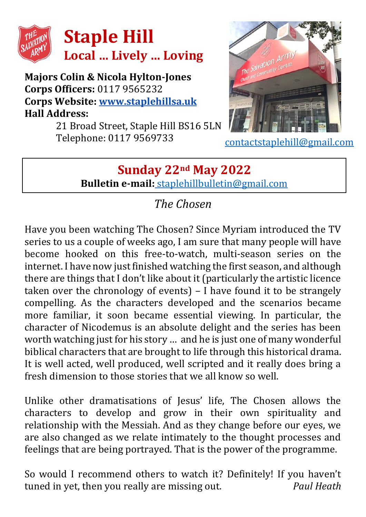

#### **Majors Colin & Nicola Hylton-Jones Corps Officers:** 0117 9565232 **Corps Website: [www.staplehillsa.uk](http://www.staplehillsa.uk/) Hall Address:**

21 Broad Street, Staple Hill BS16 5LN Telephone: 0117 9569733



[contactstaplehill@gmail.com](mailto:contactstaplehill@gmail.com)

## **Sunday 22nd May 2022 Bulletin e-mail:** [staplehillbulletin@gmail.com](mailto:staplehillbulletin@gmail.com)

## *The Chosen*

Have you been watching The Chosen? Since Myriam introduced the TV series to us a couple of weeks ago, I am sure that many people will have become hooked on this free-to-watch, multi-season series on the internet. I have now just finished watching the first season, and although there are things that I don't like about it (particularly the artistic licence taken over the chronology of events) – I have found it to be strangely compelling. As the characters developed and the scenarios became more familiar, it soon became essential viewing. In particular, the character of Nicodemus is an absolute delight and the series has been worth watching just for his story … and he is just one of many wonderful biblical characters that are brought to life through this historical drama. It is well acted, well produced, well scripted and it really does bring a fresh dimension to those stories that we all know so well.

Unlike other dramatisations of Jesus' life, The Chosen allows the characters to develop and grow in their own spirituality and relationship with the Messiah. And as they change before our eyes, we are also changed as we relate intimately to the thought processes and feelings that are being portrayed. That is the power of the programme.

So would I recommend others to watch it? Definitely! If you haven't tuned in yet, then you really are missing out. *Paul Heath*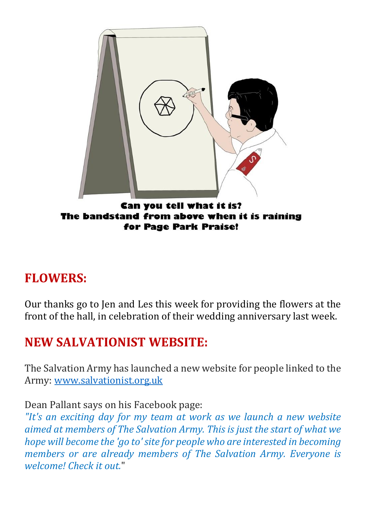

### **FLOWERS:**

Our thanks go to Jen and Les this week for providing the flowers at the front of the hall, in celebration of their wedding anniversary last week.

## **NEW SALVATIONIST WEBSITE:**

The Salvation Army has launched a new website for people linked to the Army: [www.salvationist.org.uk](https://www.salvationist.org.uk/)

Dean Pallant says on his Facebook page:

*"It's an exciting day for my team at work as we launch a new website aimed at members of The Salvation Army. This is just the start of what we hope will become the 'go to' site for people who are interested in becoming members or are already members of The Salvation Army. Everyone is welcome! Check it out.*"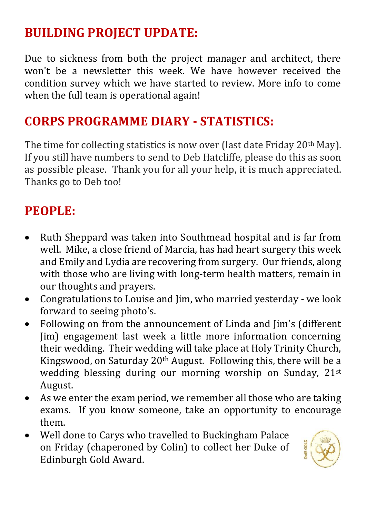# **BUILDING PROJECT UPDATE:**

Due to sickness from both the project manager and architect, there won't be a newsletter this week. We have however received the condition survey which we have started to review. More info to come when the full team is operational again!

### **CORPS PROGRAMME DIARY - STATISTICS:**

The time for collecting statistics is now over (last date Friday 20<sup>th</sup> May). If you still have numbers to send to Deb Hatcliffe, please do this as soon as possible please. Thank you for all your help, it is much appreciated. Thanks go to Deb too!

## **PEOPLE:**

- Ruth Sheppard was taken into Southmead hospital and is far from well. Mike, a close friend of Marcia, has had heart surgery this week and Emily and Lydia are recovering from surgery. Our friends, along with those who are living with long-term health matters, remain in our thoughts and prayers.
- Congratulations to Louise and Jim, who married vesterday we look forward to seeing photo's.
- Following on from the announcement of Linda and Jim's (different Jim) engagement last week a little more information concerning their wedding. Their wedding will take place at Holy Trinity Church, Kingswood, on Saturday 20th August. Following this, there will be a wedding blessing during our morning worship on Sunday, 21<sup>st</sup> August.
- As we enter the exam period, we remember all those who are taking exams. If you know someone, take an opportunity to encourage them.
- Well done to Carys who travelled to Buckingham Palace on Friday (chaperoned by Colin) to collect her Duke of Edinburgh Gold Award.

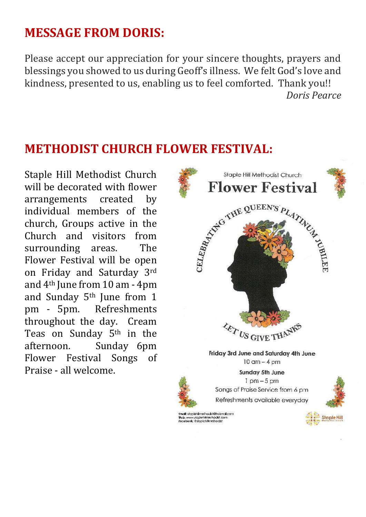## **MESSAGE FROM DORIS:**

Please accept our appreciation for your sincere thoughts, prayers and blessings you showed to us during Geoff's illness. We felt God's love and kindness, presented to us, enabling us to feel comforted. Thank you!! *Doris Pearce*

#### **METHODIST CHURCH FLOWER FESTIVAL:**

Staple Hill Methodist Church will be decorated with flower arrangements created by individual members of the church, Groups active in the Church and visitors from surrounding areas. The Flower Festival will be open on Friday and Saturday 3rd and 4th June from 10 am - 4pm and Sunday 5th June from 1 pm - 5pm. Refreshments throughout the day. Cream Teas on Sunday 5th in the afternoon. Sunday 6pm Flower Festival Songs of Praise - all welcome.

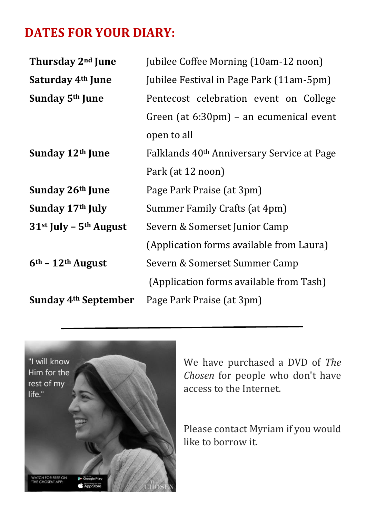# **DATES FOR YOUR DIARY:**

| Thursday 2 <sup>nd</sup> June    | Jubilee Coffee Morning (10am-12 noon)                  |  |  |
|----------------------------------|--------------------------------------------------------|--|--|
| Saturday 4 <sup>th</sup> June    | Jubilee Festival in Page Park (11am-5pm)               |  |  |
| Sunday 5 <sup>th</sup> June      | Pentecost celebration event on College                 |  |  |
|                                  | Green (at 6:30pm) – an ecumenical event                |  |  |
|                                  | open to all                                            |  |  |
| Sunday 12th June                 | Falklands 40 <sup>th</sup> Anniversary Service at Page |  |  |
|                                  | Park (at 12 noon)                                      |  |  |
| Sunday 26th June                 | Page Park Praise (at 3pm)                              |  |  |
| Sunday 17th July                 | Summer Family Crafts (at 4pm)                          |  |  |
| $31st$ July – $5th$ August       | Severn & Somerset Junior Camp                          |  |  |
|                                  | (Application forms available from Laura)               |  |  |
| $6th$ – 12 <sup>th</sup> August  | Severn & Somerset Summer Camp                          |  |  |
|                                  | (Application forms available from Tash)                |  |  |
| Sunday 4 <sup>th</sup> September | Page Park Praise (at 3pm)                              |  |  |



We have purchased a DVD of *The Chosen* for people who don't have access to the Internet.

Please contact Myriam if you would like to borrow it.